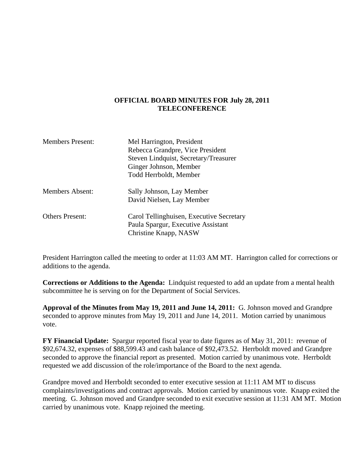## **OFFICIAL BOARD MINUTES FOR July 28, 2011 TELECONFERENCE**

| <b>Members Present:</b> | Mel Harrington, President<br>Rebecca Grandpre, Vice President<br>Steven Lindquist, Secretary/Treasurer<br>Ginger Johnson, Member |
|-------------------------|----------------------------------------------------------------------------------------------------------------------------------|
|                         | Todd Herrboldt, Member                                                                                                           |
| <b>Members Absent:</b>  | Sally Johnson, Lay Member<br>David Nielsen, Lay Member                                                                           |
| <b>Others Present:</b>  | Carol Tellinghuisen, Executive Secretary<br>Paula Spargur, Executive Assistant<br>Christine Knapp, NASW                          |

President Harrington called the meeting to order at 11:03 AM MT. Harrington called for corrections or additions to the agenda.

**Corrections or Additions to the Agenda:** Lindquist requested to add an update from a mental health subcommittee he is serving on for the Department of Social Services.

**Approval of the Minutes from May 19, 2011 and June 14, 2011:** G. Johnson moved and Grandpre seconded to approve minutes from May 19, 2011 and June 14, 2011. Motion carried by unanimous vote.

**FY Financial Update:** Spargur reported fiscal year to date figures as of May 31, 2011: revenue of \$92,674.32, expenses of \$88,599.43 and cash balance of \$92,473.52. Herrboldt moved and Grandpre seconded to approve the financial report as presented. Motion carried by unanimous vote. Herrboldt requested we add discussion of the role/importance of the Board to the next agenda.

Grandpre moved and Herrboldt seconded to enter executive session at 11:11 AM MT to discuss complaints/investigations and contract approvals. Motion carried by unanimous vote. Knapp exited the meeting. G. Johnson moved and Grandpre seconded to exit executive session at 11:31 AM MT. Motion carried by unanimous vote. Knapp rejoined the meeting.